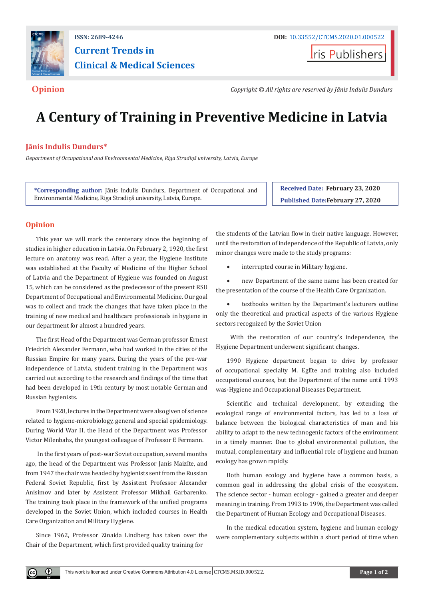

## **ISSN: 2689-4246 DOI:** [10.33552/CTCMS.2020.01.000522](http://dx.doi.org/10.33552/CTCMS.2020.01.000522) **Current Trends in Clinical & Medical Sciences**

**Iris Publishers** 

**Opinion** *Copyright © All rights are reserved by Jānis Indulis Dundurs*

# **A Century of Training in Preventive Medicine in Latvia**

### **Jānis Indulis Dundurs\***

*Department of Occupational and Environmental Medicine, Riga Stradiņš university, Latvia, Europe*

**\*Corresponding author:** Jānis Indulis Dundurs, Department of Occupational and Environmental Medicine, Riga Stradiņš university, Latvia, Europe.

**Received Date: February 23, 2020 Published Date:February 27, 2020**

#### **Opinion**

This year we will mark the centenary since the beginning of studies in higher education in Latvia. On February 2, 1920, the first lecture on anatomy was read. After a year, the Hygiene Institute was established at the Faculty of Medicine of the Higher School of Latvia and the Department of Hygiene was founded on August 15, which can be considered as the predecessor of the present RSU Department of Occupational and Environmental Medicine. Our goal was to collect and track the changes that have taken place in the training of new medical and healthcare professionals in hygiene in our department for almost a hundred years.

The first Head of the Department was German professor Ernest Friedrich Alexander Fermann, who had worked in the cities of the Russian Empire for many years. During the years of the pre-war independence of Latvia, student training in the Department was carried out according to the research and findings of the time that had been developed in 19th century by most notable German and Russian hygienists.

From 1928, lectures in the Department were also given of science related to hygiene-microbiology, general and special epidemiology. During World War II, the Head of the Department was Professor Victor Mīlenbahs, the youngest colleague of Professor E Fermann.

 In the first years of post-war Soviet occupation, several months ago, the head of the Department was Professor Janis Maizīte, and from 1947 the chair was headed by hygienists sent from the Russian Federal Soviet Republic, first by Assistent Professor Alexander Anisimov and later by Assistent Professor Mikhail Garbarenko. The training took place in the framework of the unified programs developed in the Soviet Union, which included courses in Health Care Organization and Military Hygiene.

Since 1962, Professor Zinaida Lindberg has taken over the Chair of the Department, which first provided quality training for

 $^{\circ}$ 

the students of the Latvian flow in their native language. However, until the restoration of independence of the Republic of Latvia, only minor changes were made to the study programs:

interrupted course in Military hygiene.

new Department of the same name has been created for the presentation of the course of the Health Care Organization.

textbooks written by the Department's lecturers outline only the theoretical and practical aspects of the various Hygiene sectors recognized by the Soviet Union

 With the restoration of our country's independence, the Hygiene Department underwent significant changes.

1990 Hygiene department began to drive by professor of occupational specialty M. Eglīte and training also included occupational courses, but the Department of the name until 1993 was-Hygiene and Occupational Diseases Department.

Scientific and technical development, by extending the ecological range of environmental factors, has led to a loss of balance between the biological characteristics of man and his ability to adapt to the new technogenic factors of the environment in a timely manner. Due to global environmental pollution, the mutual, complementary and influential role of hygiene and human ecology has grown rapidly.

Both human ecology and hygiene have a common basis, a common goal in addressing the global crisis of the ecosystem. The science sector - human ecology - gained a greater and deeper meaning in training. From 1993 to 1996, the Department was called the Department of Human Ecology and Occupational Diseases.

In the medical education system, hygiene and human ecology were complementary subjects within a short period of time when